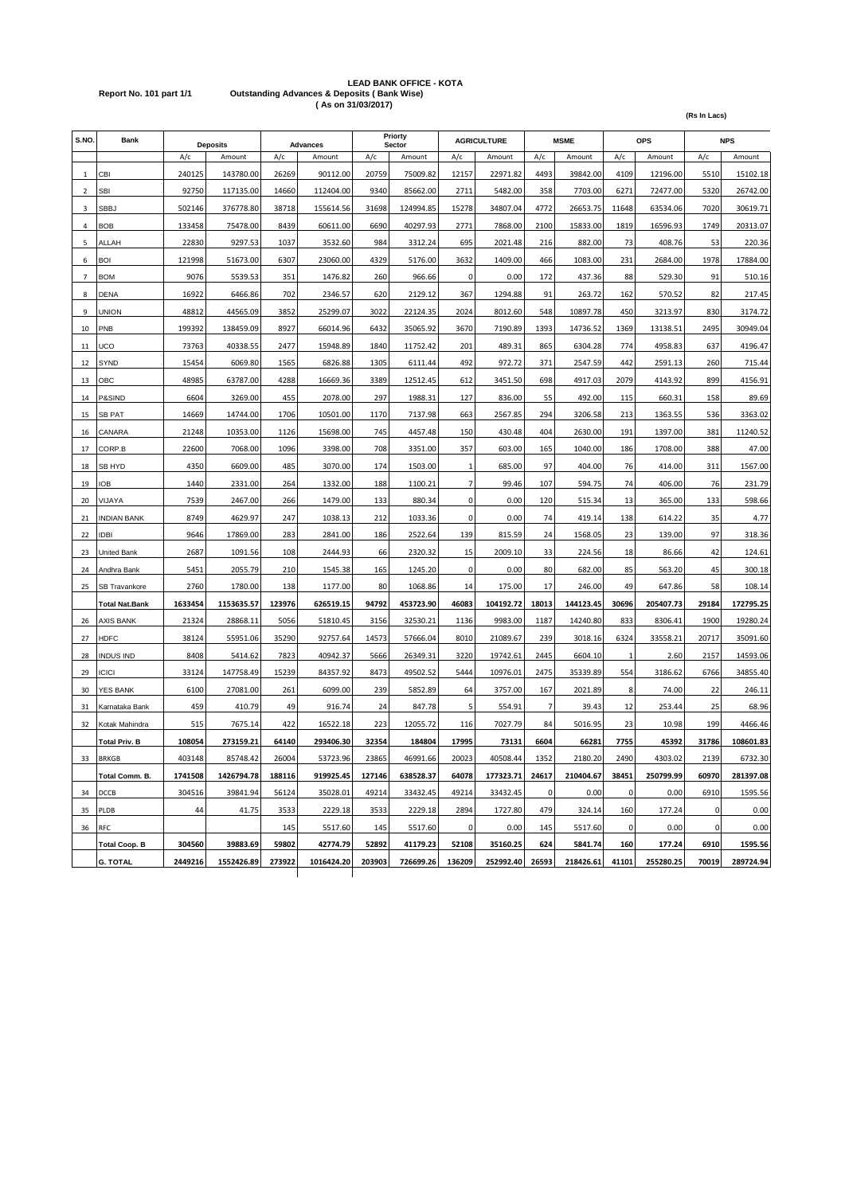## **LEAD BANK OFFICE - KOTA Report No. 101 part 1/1 Outstanding Advances & Deposits ( Bank Wise) ( As on 31/03/2017)**

| S.NO           | Bank                 |         | <b>Deposits</b> |        | <b>Advances</b> |        | Priorty<br>Sector |              | <b>AGRICULTURE</b> |       | <b>MSME</b> |              | <b>OPS</b> |       | <b>NPS</b> |
|----------------|----------------------|---------|-----------------|--------|-----------------|--------|-------------------|--------------|--------------------|-------|-------------|--------------|------------|-------|------------|
|                |                      | A/c     | Amount          | A/c    | Amount          | A/c    | Amount            | A/c          | Amount             | A/c   | Amount      | A/c          | Amount     | A/c   | Amount     |
| 1              | CBI                  | 240125  | 143780.00       | 26269  | 90112.00        | 20759  | 75009.82          | 12157        | 22971.82           | 4493  | 39842.00    | 4109         | 12196.00   | 5510  | 15102.18   |
| $\overline{2}$ | <b>SBI</b>           | 92750   | 117135.00       | 14660  | 112404.00       | 9340   | 85662.00          | 2711         | 5482.00            | 358   | 7703.00     | 6271         | 72477.00   | 5320  | 26742.00   |
| 3              | <b>SBBJ</b>          | 502146  | 376778.80       | 38718  | 155614.56       | 31698  | 124994.85         | 15278        | 34807.04           | 4772  | 26653.75    | 11648        | 63534.06   | 7020  | 30619.71   |
| 4              | <b>BOB</b>           | 133458  | 75478.00        | 8439   | 60611.00        | 6690   | 40297.93          | 2771         | 7868.00            | 2100  | 15833.00    | 1819         | 16596.93   | 1749  | 20313.07   |
| 5              | ALLAH                | 22830   | 9297.53         | 1037   | 3532.60         | 984    | 3312.24           | 695          | 2021.48            | 216   | 882.00      | 73           | 408.76     | 53    | 220.36     |
| 6              | <b>BOI</b>           | 121998  | 51673.00        | 6307   | 23060.00        | 4329   | 5176.00           | 3632         | 1409.00            | 466   | 1083.00     | 231          | 2684.00    | 1978  | 17884.00   |
| $\overline{7}$ | <b>BOM</b>           | 9076    | 5539.53         | 351    | 1476.82         | 260    | 966.66            | 0            | 0.00               | 172   | 437.36      | 88           | 529.30     | 91    | 510.16     |
| 8              | <b>DENA</b>          | 16922   | 6466.86         | 702    | 2346.57         | 620    | 2129.12           | 367          | 1294.88            | 91    | 263.72      | 162          | 570.52     | 82    | 217.45     |
| 9              | UNION                | 48812   | 44565.09        | 3852   | 25299.07        | 3022   | 22124.35          | 2024         | 8012.60            | 548   | 10897.78    | 450          | 3213.97    | 830   | 3174.72    |
| 10             | PNB                  | 199392  | 138459.09       | 8927   | 66014.96        | 6432   | 35065.92          | 3670         | 7190.89            | 1393  | 14736.52    | 1369         | 13138.51   | 2495  | 30949.04   |
| 11             | UCO                  | 73763   | 40338.55        | 2477   | 15948.89        | 1840   | 11752.42          | 201          | 489.31             | 865   | 6304.28     | 774          | 4958.83    | 637   | 4196.47    |
| 12             | SYND                 | 15454   | 6069.80         | 1565   | 6826.88         | 1305   | 6111.44           | 492          | 972.72             | 371   | 2547.59     | 442          | 2591.13    | 260   | 715.44     |
| 13             | OBC                  | 48985   | 63787.00        | 4288   | 16669.36        | 3389   | 12512.45          | 612          | 3451.50            | 698   | 4917.03     | 2079         | 4143.92    | 899   | 4156.91    |
| 14             | P&SIND               | 6604    | 3269.00         | 455    | 2078.00         | 297    | 1988.31           | 127          | 836.00             | 55    | 492.00      | 115          | 660.31     | 158   | 89.69      |
| 15             | SB PAT               | 14669   | 14744.00        | 1706   | 10501.00        | 1170   | 7137.98           | 663          | 2567.85            | 294   | 3206.58     | 213          | 1363.55    | 536   | 3363.02    |
| 16             | CANARA               | 21248   | 10353.00        | 1126   | 15698.00        | 745    | 4457.48           | 150          | 430.48             | 404   | 2630.00     | 191          | 1397.00    | 381   | 11240.52   |
| 17             | CORP.B               | 22600   | 7068.00         | 1096   | 3398.00         | 708    | 3351.00           | 357          | 603.00             | 165   | 1040.00     | 186          | 1708.00    | 388   | 47.00      |
| 18             | SB HYD               | 4350    | 6609.00         | 485    | 3070.00         | 174    | 1503.00           | $\mathbf{1}$ | 685.00             | 97    | 404.00      | 76           | 414.00     | 311   | 1567.00    |
| 19             | ЮB                   | 1440    | 2331.00         | 264    | 1332.00         | 188    | 1100.21           | 7            | 99.46              | 107   | 594.75      | 74           | 406.00     | 76    | 231.79     |
| 20             | <b>JAYA/</b>         | 7539    | 2467.00         | 266    | 1479.00         | 133    | 880.34            | 0            | 0.00               | 120   | 515.34      | 13           | 365.00     | 133   | 598.66     |
| 21             | <b>NDIAN BANK</b>    | 8749    | 4629.97         | 247    | 1038.13         | 212    | 1033.36           | 0            | 0.00               | 74    | 419.14      | 138          | 614.22     | 35    | 4.77       |
| 22             | idbi                 | 9646    | 17869.00        | 283    | 2841.00         | 186    | 2522.64           | 139          | 815.59             | 24    | 1568.05     | 23           | 139.00     | 97    | 318.36     |
| 23             | Jnited Bank          | 2687    | 1091.56         | 108    | 2444.93         | 66     | 2320.32           | 15           | 2009.10            | 33    | 224.56      | 18           | 86.66      | 42    | 124.61     |
| 24             | Andhra Bank          | 5451    | 2055.79         | 210    | 1545.38         | 165    | 1245.20           | 0            | 0.00               | 80    | 682.00      | 85           | 563.20     | 45    | 300.18     |
| 25             | SB Travankore        | 2760    | 1780.00         | 138    | 1177.00         | 80     | 1068.86           | 14           | 175.00             | 17    | 246.00      | 49           | 647.86     | 58    | 108.14     |
|                | Total Nat.Bank       | 1633454 | 1153635.57      | 123976 | 626519.15       | 94792  | 453723.90         | 46083        | 104192.72          | 18013 | 144123.45   | 30696        | 205407.73  | 29184 | 172795.25  |
| 26             | AXIS BANK            | 21324   | 28868.11        | 5056   | 51810.45        | 3156   | 32530.21          | 1136         | 9983.00            | 1187  | 14240.80    | 833          | 8306.41    | 1900  | 19280.24   |
| 27             | HDFC                 | 38124   | 55951.06        | 35290  | 92757.64        | 14573  | 57666.04          | 8010         | 21089.67           | 239   | 3018.16     | 6324         | 33558.21   | 20717 | 35091.60   |
| 28             | <b>INDUS IND</b>     | 8408    | 5414.62         | 7823   | 40942.37        | 5666   | 26349.31          | 3220         | 19742.61           | 2445  | 6604.10     | $\mathbf{1}$ | 2.60       | 2157  | 14593.06   |
| 29             | ICICI                | 33124   | 147758.49       | 15239  | 84357.92        | 8473   | 49502.52          | 5444         | 10976.01           | 2475  | 35339.89    | 554          | 3186.62    | 6766  | 34855.40   |
| 30             | YES BANK             | 6100    | 27081.00        | 261    | 6099.00         | 239    | 5852.89           | 64           | 3757.00            | 167   | 2021.89     | 8            | 74.00      | 22    | 246.11     |
| 31             | Karnataka Bank       | 459     | 410.79          | 49     | 916.74          | 24     | 847.78            | 5            | 554.91             | 7     | 39.43       | 12           | 253.44     | 25    | 68.96      |
| 32             | Kotak Mahindra       | 515     | 7675.14         | 422    | 16522.18        | 223    | 12055.72          | 116          | 7027.79            | 84    | 5016.95     | 23           | 10.98      | 199   | 4466.46    |
|                | <b>Total Priv. B</b> | 108054  | 273159.21       | 64140  | 293406.30       | 32354  | 184804            | 17995        | 73131              | 6604  | 66281       | 7755         | 45392      | 31786 | 108601.83  |
| 33             | <b>BRKGB</b>         | 403148  | 85748.42        | 26004  | 53723.96        | 23865  | 46991.66          | 20023        | 40508.44           | 1352  | 2180.20     | 2490         | 4303.02    | 2139  | 6732.30    |
|                | Total Comm. B.       | 1741508 | 1426794.78      | 188116 | 919925.45       | 127146 | 638528.37         | 64078        | 177323.71          | 24617 | 210404.67   | 38451        | 250799.99  | 60970 | 281397.08  |
| 34             | DCCB                 | 304516  | 39841.94        | 56124  | 35028.01        | 49214  | 33432.45          | 49214        | 33432.45           | 0     | 0.00        | 0            | 0.00       | 6910  | 1595.56    |
| 35             | PLDB                 | 44      | 41.75           | 3533   | 2229.18         | 3533   | 2229.18           | 2894         | 1727.80            | 479   | 324.14      | 160          | 177.24     | 0     | 0.00       |
| 36             | <b>RFC</b>           |         |                 | 145    | 5517.60         | 145    | 5517.60           | 0            | 0.00               | 145   | 5517.60     | 0            | 0.00       | 0     | 0.00       |
|                | <b>Total Coop. B</b> | 304560  | 39883.69        | 59802  | 42774.79        | 52892  | 41179.23          | 52108        | 35160.25           | 624   | 5841.74     | 160          | 177.24     | 6910  | 1595.56    |
|                | <b>G. TOTAL</b>      | 2449216 | 1552426.89      | 273922 | 1016424.20      | 203903 | 726699.26         | 136209       | 252992.40          | 26593 | 218426.61   | 41101        | 255280.25  | 70019 | 289724.94  |

**(Rs In Lacs)**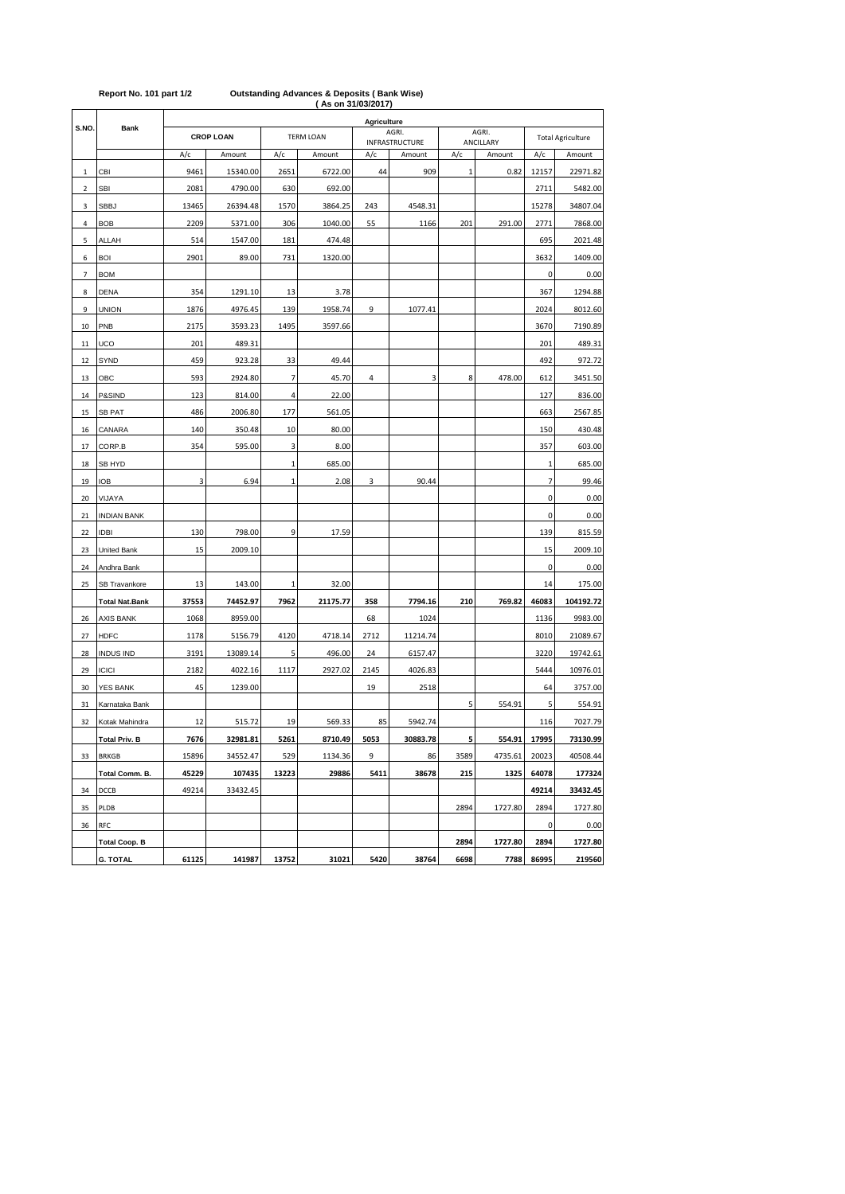|                         |                       |                  |          |                  |          | AS ON 31/03/2017 |                |      |           |                          |           |
|-------------------------|-----------------------|------------------|----------|------------------|----------|------------------|----------------|------|-----------|--------------------------|-----------|
| S.NO.                   | Bank                  |                  |          |                  |          | Agriculture      | AGRI.          |      | AGRI.     |                          |           |
|                         |                       | <b>CROP LOAN</b> |          | <b>TERM LOAN</b> |          |                  | INFRASTRUCTURE |      | ANCILLARY | <b>Total Agriculture</b> |           |
|                         |                       | A/c              | Amount   | A/c              | Amount   | A/c              | Amount         | A/c  | Amount    | A/c                      | Amount    |
| 1                       | CBI                   | 9461             | 15340.00 | 2651             | 6722.00  | 44               | 909            | 1    | 0.82      | 12157                    | 22971.82  |
| $\overline{\mathbf{2}}$ | <b>SBI</b>            | 2081             | 4790.00  | 630              | 692.00   |                  |                |      |           | 2711                     | 5482.00   |
| 3                       | <b>SBBJ</b>           | 13465            | 26394.48 | 1570             | 3864.25  | 243              | 4548.31        |      |           | 15278                    | 34807.04  |
| 4                       | <b>BOB</b>            | 2209             | 5371.00  | 306              | 1040.00  | 55               | 1166           | 201  | 291.00    | 2771                     | 7868.00   |
| 5                       | ALLAH                 | 514              | 1547.00  | 181              | 474.48   |                  |                |      |           | 695                      | 2021.48   |
| 6                       | <b>BOI</b>            | 2901             | 89.00    | 731              | 1320.00  |                  |                |      |           | 3632                     | 1409.00   |
| $\overline{7}$          | <b>BOM</b>            |                  |          |                  |          |                  |                |      |           | 0                        | 0.00      |
| 8                       | <b>DENA</b>           | 354              | 1291.10  | 13               | 3.78     |                  |                |      |           | 367                      | 1294.88   |
| 9                       | <b>UNION</b>          | 1876             | 4976.45  | 139              | 1958.74  | 9                | 1077.41        |      |           | 2024                     | 8012.60   |
| 10                      | PNB                   | 2175             | 3593.23  | 1495             | 3597.66  |                  |                |      |           | 3670                     | 7190.89   |
| 11                      | UCO                   | 201              | 489.31   |                  |          |                  |                |      |           | 201                      | 489.31    |
| 12                      | SYND                  | 459              | 923.28   | 33               | 49.44    |                  |                |      |           | 492                      | 972.72    |
| 13                      | OBC                   | 593              | 2924.80  | 7                | 45.70    | 4                | 3              | 8    | 478.00    | 612                      | 3451.50   |
| 14                      | P&SIND                | 123              | 814.00   | 4                | 22.00    |                  |                |      |           | 127                      | 836.00    |
| 15                      | SB PAT                | 486              | 2006.80  | 177              | 561.05   |                  |                |      |           | 663                      | 2567.85   |
| 16                      | CANARA                | 140              | 350.48   | 10               | 80.00    |                  |                |      |           | 150                      | 430.48    |
| 17                      | CORP.B                | 354              | 595.00   | 3                | 8.00     |                  |                |      |           | 357                      | 603.00    |
| 18                      | SB HYD                |                  |          | $\mathbf{1}$     | 685.00   |                  |                |      |           | $\mathbf{1}$             | 685.00    |
| 19                      | IOB                   | 3                | 6.94     | 1                | 2.08     | 3                | 90.44          |      |           | $\overline{7}$           | 99.46     |
| 20                      | VIJAYA                |                  |          |                  |          |                  |                |      |           | 0                        | 0.00      |
| 21                      | <b>INDIAN BANK</b>    |                  |          |                  |          |                  |                |      |           | 0                        | 0.00      |
| 22                      | <b>IDBI</b>           | 130              | 798.00   | 9                | 17.59    |                  |                |      |           | 139                      | 815.59    |
| 23                      | United Bank           | 15               | 2009.10  |                  |          |                  |                |      |           | 15                       | 2009.10   |
| 24                      | Andhra Bank           |                  |          |                  |          |                  |                |      |           | 0                        | 0.00      |
| 25                      | SB Travankore         | 13               | 143.00   | 1                | 32.00    |                  |                |      |           | 14                       | 175.00    |
|                         | <b>Total Nat.Bank</b> | 37553            | 74452.97 | 7962             | 21175.77 | 358              | 7794.16        | 210  | 769.82    | 46083                    | 104192.72 |
| 26                      | <b>AXIS BANK</b>      | 1068             | 8959.00  |                  |          | 68               | 1024           |      |           | 1136                     | 9983.00   |
| 27                      | <b>HDFC</b>           | 1178             | 5156.79  | 4120             | 4718.14  | 2712             | 11214.74       |      |           | 8010                     | 21089.67  |
| 28                      | <b>INDUS IND</b>      | 3191             | 13089.14 | 5                | 496.00   | 24               | 6157.47        |      |           | 3220                     | 19742.61  |
| 29                      | <b>ICICI</b>          | 2182             | 4022.16  | 1117             | 2927.02  | 2145             | 4026.83        |      |           | 5444                     | 10976.01  |
| 30                      | YES BANK              | 45               | 1239.00  |                  |          | 19               | 2518           |      |           | 64                       | 3757.00   |
| 31                      | Karnataka Bank        |                  |          |                  |          |                  |                | 5    | 554.91    | 5                        | 554.91    |
| 32                      | Kotak Mahindra        | 12               | 515.72   | 19               | 569.33   | 85               | 5942.74        |      |           | 116                      | 7027.79   |
|                         | <b>Total Priv. B</b>  | 7676             | 32981.81 | 5261             | 8710.49  | 5053             | 30883.78       | 5    | 554.91    | 17995                    | 73130.99  |
| 33                      | <b>BRKGB</b>          | 15896            | 34552.47 | 529              | 1134.36  | 9                | 86             | 3589 | 4735.61   | 20023                    | 40508.44  |
|                         | Total Comm. B.        | 45229            | 107435   | 13223            | 29886    | 5411             | 38678          | 215  | 1325      | 64078                    | 177324    |
| 34                      | DCCB                  | 49214            | 33432.45 |                  |          |                  |                |      |           | 49214                    | 33432.45  |
| 35                      | PLDB                  |                  |          |                  |          |                  |                | 2894 | 1727.80   | 2894                     | 1727.80   |
| 36                      | RFC                   |                  |          |                  |          |                  |                |      |           | 0                        | 0.00      |
|                         | <b>Total Coop. B</b>  |                  |          |                  |          |                  |                | 2894 | 1727.80   | 2894                     | 1727.80   |
|                         | <b>G. TOTAL</b>       | 61125            | 141987   | 13752            | 31021    | 5420             | 38764          | 6698 | 7788      | 86995                    | 219560    |

## **( As on 31/03/2017) Report No. 101 part 1/2 Outstanding Advances & Deposits ( Bank Wise)**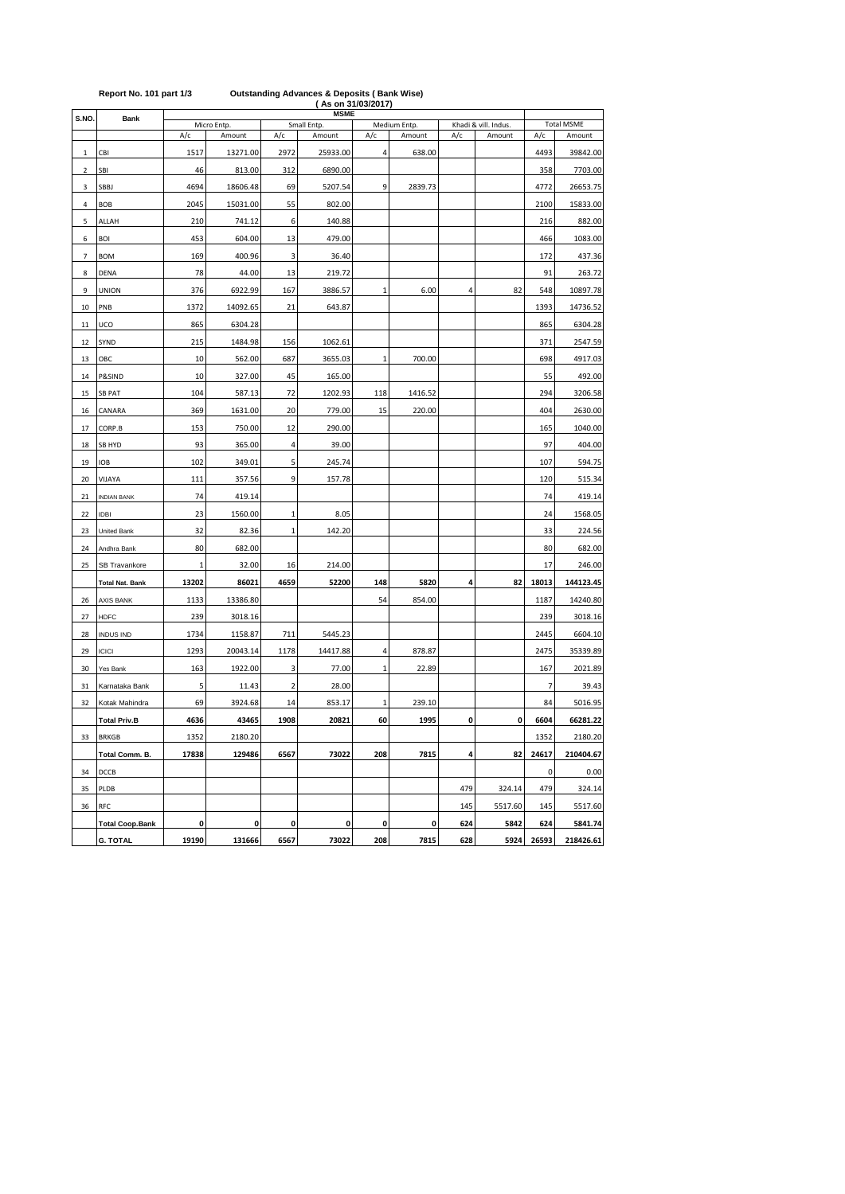|                |                        | <b>MSME</b>  |             |                         |             |              |              |                      |                   |             |           |
|----------------|------------------------|--------------|-------------|-------------------------|-------------|--------------|--------------|----------------------|-------------------|-------------|-----------|
| S.NO.          | <b>Bank</b>            |              | Micro Entp. |                         | Small Entp. |              | Medium Entp. | Khadi & vill. Indus. | <b>Total MSME</b> |             |           |
|                |                        | A/c          | Amount      | A/c                     | Amount      | A/c          | Amount       | A/c                  | Amount            | A/c         | Amount    |
| 1              | CBI                    | 1517         | 13271.00    | 2972                    | 25933.00    | 4            | 638.00       |                      |                   | 4493        | 39842.00  |
| $\overline{2}$ | SBI                    | 46           | 813.00      | 312                     | 6890.00     |              |              |                      |                   | 358         | 7703.00   |
| 3              | SBBJ                   | 4694         | 18606.48    | 69                      | 5207.54     | 9            | 2839.73      |                      |                   | 4772        | 26653.75  |
| 4              | <b>BOB</b>             | 2045         | 15031.00    | 55                      | 802.00      |              |              |                      |                   | 2100        | 15833.00  |
| 5              | ALLAH                  | 210          | 741.12      | 6                       | 140.88      |              |              |                      |                   | 216         | 882.00    |
| 6              | <b>BOI</b>             | 453          | 604.00      | 13                      | 479.00      |              |              |                      |                   | 466         | 1083.00   |
| 7              | <b>BOM</b>             | 169          | 400.96      | 3                       | 36.40       |              |              |                      |                   | 172         | 437.36    |
| 8              | DENA                   | 78           | 44.00       | 13                      | 219.72      |              |              |                      |                   | 91          | 263.72    |
| 9              | <b>UNION</b>           | 376          | 6922.99     | 167                     | 3886.57     | 1            | 6.00         | 4                    | 82                | 548         | 10897.78  |
| 10             | PNB                    | 1372         | 14092.65    | 21                      | 643.87      |              |              |                      |                   | 1393        | 14736.52  |
| 11             | UCO                    | 865          | 6304.28     |                         |             |              |              |                      |                   | 865         | 6304.28   |
| 12             | SYND                   | 215          | 1484.98     | 156                     | 1062.61     |              |              |                      |                   | 371         | 2547.59   |
| 13             | OBC                    | 10           | 562.00      | 687                     | 3655.03     | 1            | 700.00       |                      |                   | 698         | 4917.03   |
| 14             | P&SIND                 | 10           | 327.00      | 45                      | 165.00      |              |              |                      |                   | 55          | 492.00    |
| 15             | <b>SB PAT</b>          | 104          | 587.13      | 72                      | 1202.93     | 118          | 1416.52      |                      |                   | 294         | 3206.58   |
| 16             | CANARA                 | 369          | 1631.00     | 20                      | 779.00      | 15           | 220.00       |                      |                   | 404         | 2630.00   |
| 17             | CORP.B                 | 153          | 750.00      | 12                      | 290.00      |              |              |                      |                   | 165         | 1040.00   |
| 18             | SB HYD                 | 93           | 365.00      | $\overline{\mathbf{4}}$ | 39.00       |              |              |                      |                   | 97          | 404.00    |
| 19             | <b>IOB</b>             | 102          | 349.01      | 5                       | 245.74      |              |              |                      |                   | 107         | 594.75    |
| 20             | VIJAYA                 | 111          | 357.56      | 9                       | 157.78      |              |              |                      |                   | 120         | 515.34    |
| 21             | <b>INDIAN BANK</b>     | 74           | 419.14      |                         |             |              |              |                      |                   | 74          | 419.14    |
| 22             | <b>IDBI</b>            | 23           | 1560.00     | $\mathbf 1$             | 8.05        |              |              |                      |                   | 24          | 1568.05   |
| 23             | United Bank            | 32           | 82.36       | $\mathbf 1$             | 142.20      |              |              |                      |                   | 33          | 224.56    |
| 24             | Andhra Bank            | 80           | 682.00      |                         |             |              |              |                      |                   | 80          | 682.00    |
| 25             | SB Travankore          | $\mathbf{1}$ | 32.00       | 16                      | 214.00      |              |              |                      |                   | 17          | 246.00    |
|                | <b>Total Nat. Bank</b> | 13202        | 86021       | 4659                    | 52200       | 148          | 5820         | 4                    | 82                | 18013       | 144123.45 |
| 26             | AXIS BANK              | 1133         | 13386.80    |                         |             | 54           | 854.00       |                      |                   | 1187        | 14240.80  |
| 27             | <b>HDFC</b>            | 239          | 3018.16     |                         |             |              |              |                      |                   | 239         | 3018.16   |
| 28             | <b>INDUS IND</b>       | 1734         | 1158.87     | 711                     | 5445.23     |              |              |                      |                   | 2445        | 6604.10   |
| 29             | <b>ICICI</b>           | 1293         | 20043.14    | 1178                    | 14417.88    | 4            | 878.87       |                      |                   | 2475        | 35339.89  |
| 30             | Yes Bank               | 163          | 1922.00     | 3                       | 77.00       | $\mathbf 1$  | 22.89        |                      |                   | 167         | 2021.89   |
| 31             | Karnataka Bank         | 5            | 11.43       | 2                       | 28.00       |              |              |                      |                   | 7           | 39.43     |
| 32             | Kotak Mahindra         | 69           | 3924.68     | 14                      | 853.17      | $\mathbf{1}$ | 239.10       |                      |                   | 84          | 5016.95   |
|                | <b>Total Priv.B</b>    | 4636         | 43465       | 1908                    | 20821       | 60           | 1995         | 0                    | 0                 | 6604        | 66281.22  |
| 33             | <b>BRKGB</b>           | 1352         | 2180.20     |                         |             |              |              |                      |                   | 1352        | 2180.20   |
|                | Total Comm. B.         | 17838        | 129486      | 6567                    | 73022       | 208          | 7815         | 4                    | 82                | 24617       | 210404.67 |
| 34             | DCCB                   |              |             |                         |             |              |              |                      |                   | $\mathbf 0$ | 0.00      |
| 35             | PLDB                   |              |             |                         |             |              |              | 479                  | 324.14            | 479         | 324.14    |
| 36             | RFC                    |              |             |                         |             |              |              | 145                  | 5517.60           | 145         | 5517.60   |
|                | <b>Total Coop.Bank</b> | 0            | 0           | 0                       | 0           | 0            | 0            | 624                  | 5842              | 624         | 5841.74   |
|                | <b>G. TOTAL</b>        | 19190        | 131666      | 6567                    | 73022       | 208          | 7815         | 628                  | 5924              | 26593       | 218426.61 |

## **Report No. 101 part 1/3 Outstanding Advances & Deposits ( Bank Wise) ( As on 31/03/2017)**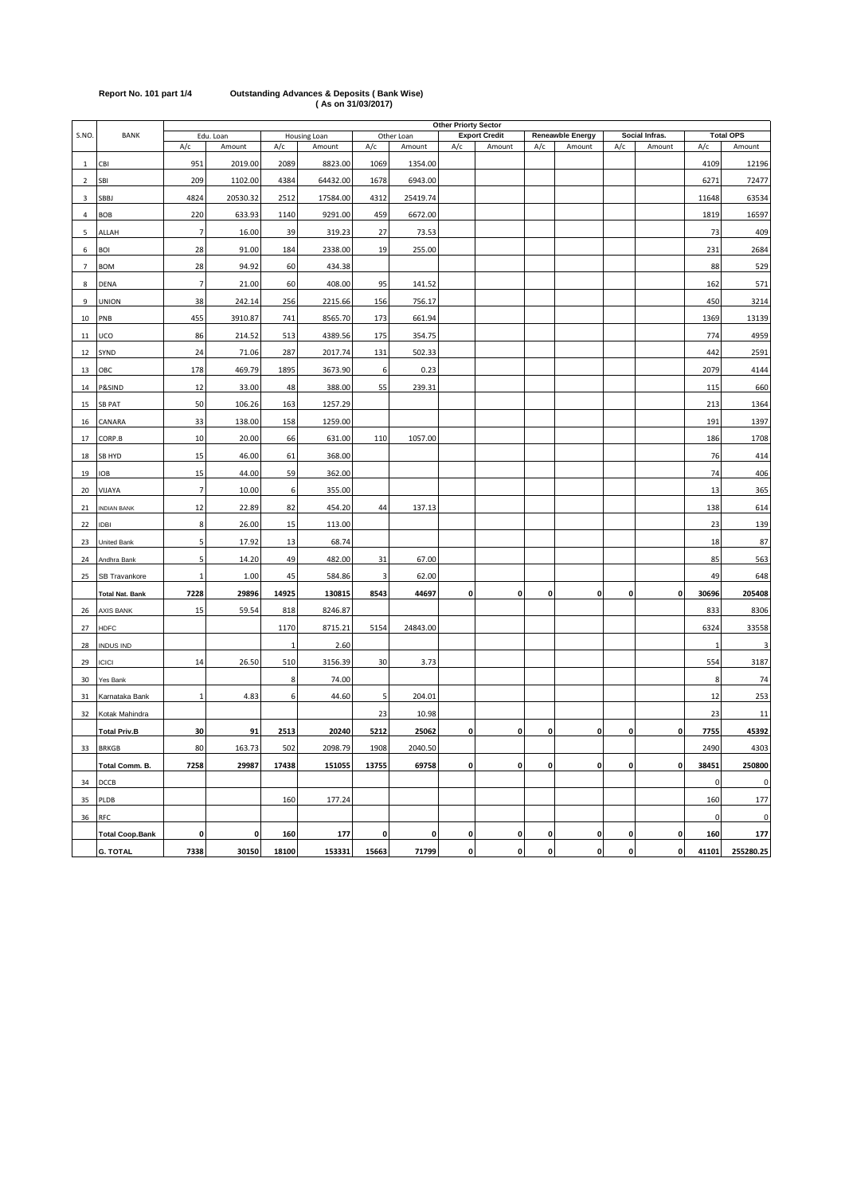| Report No. 101 part 1/4 | <b>Outstanding Advances &amp; Deposits (Bank Wise)</b> |
|-------------------------|--------------------------------------------------------|
|                         | (As on 31/03/2017)                                     |

|                |                        | <b>Other Priorty Sector</b> |           |             |              |              |            |             |                      |     |                         |           |                |          |                  |
|----------------|------------------------|-----------------------------|-----------|-------------|--------------|--------------|------------|-------------|----------------------|-----|-------------------------|-----------|----------------|----------|------------------|
| S.NO.          | BANK                   |                             | Edu. Loan |             | Housing Loan |              | Other Loan |             | <b>Export Credit</b> |     | <b>Reneawble Energy</b> |           | Social Infras. |          | <b>Total OPS</b> |
|                |                        | A/c                         | Amount    | A/c         | Amount       | A/c          | Amount     | A/c         | Amount               | A/c | Amount                  | A/c       | Amount         | A/c      | Amount           |
| $\mathbf{1}$   | CBI                    | 951                         | 2019.00   | 2089        | 8823.00      | 1069         | 1354.00    |             |                      |     |                         |           |                | 4109     | 12196            |
| $\overline{2}$ | SBI                    | 209                         | 1102.00   | 4384        | 64432.00     | 1678         | 6943.00    |             |                      |     |                         |           |                | 6271     | 72477            |
| 3              | SBBJ                   | 4824                        | 20530.32  | 2512        | 17584.00     | 4312         | 25419.74   |             |                      |     |                         |           |                | 11648    | 63534            |
| $\sqrt{4}$     | <b>BOB</b>             | 220                         | 633.93    | 1140        | 9291.00      | 459          | 6672.00    |             |                      |     |                         |           |                | 1819     | 16597            |
| 5              | ALLAH                  | $\overline{7}$              | 16.00     | 39          | 319.23       | 27           | 73.53      |             |                      |     |                         |           |                | 73       | 409              |
| 6              | <b>BOI</b>             | 28                          | 91.00     | 184         | 2338.00      | 19           | 255.00     |             |                      |     |                         |           |                | 231      | 2684             |
| $\overline{7}$ | <b>BOM</b>             | 28                          | 94.92     | 60          | 434.38       |              |            |             |                      |     |                         |           |                | 88       | 529              |
| 8              | <b>DENA</b>            | $\overline{7}$              | 21.00     | 60          | 408.00       | 95           | 141.52     |             |                      |     |                         |           |                | 162      | 571              |
| 9              | <b>UNION</b>           | 38                          | 242.14    | 256         | 2215.66      | 156          | 756.17     |             |                      |     |                         |           |                | 450      | 3214             |
| 10             | PNB                    | 455                         | 3910.87   | 741         | 8565.70      | 173          | 661.94     |             |                      |     |                         |           |                | 1369     | 13139            |
| 11             | UCO                    | 86                          | 214.52    | 513         | 4389.56      | 175          | 354.75     |             |                      |     |                         |           |                | 774      | 4959             |
| 12             | SYND                   | 24                          | 71.06     | 287         | 2017.74      | 131          | 502.33     |             |                      |     |                         |           |                | 442      | 2591             |
| 13             | ОВС                    | 178                         | 469.79    | 1895        | 3673.90      | 6            | 0.23       |             |                      |     |                         |           |                | 2079     | 4144             |
| 14             | P&SIND                 | 12                          | 33.00     | 48          | 388.00       | 55           | 239.31     |             |                      |     |                         |           |                | 115      | 660              |
| 15             | <b>SB PAT</b>          | 50                          | 106.26    | 163         | 1257.29      |              |            |             |                      |     |                         |           |                | 213      | 1364             |
| 16             | CANARA                 | 33                          | 138.00    | 158         | 1259.00      |              |            |             |                      |     |                         |           |                | 191      | 1397             |
| 17             | CORP.B                 | 10                          | 20.00     | 66          | 631.00       | 110          | 1057.00    |             |                      |     |                         |           |                | 186      | 1708             |
| 18             | SB HYD                 | 15                          | 46.00     | 61          | 368.00       |              |            |             |                      |     |                         |           |                | 76       | 414              |
| 19             | <b>IOB</b>             | 15                          | 44.00     | 59          | 362.00       |              |            |             |                      |     |                         |           |                | 74       | 406              |
| 20             | VIJAYA                 | $\overline{7}$              | 10.00     | 6           | 355.00       |              |            |             |                      |     |                         |           |                | 13       | 365              |
| 21             | <b>INDIAN BANK</b>     | 12                          | 22.89     | 82          | 454.20       | 44           | 137.13     |             |                      |     |                         |           |                | 138      | 614              |
| 22             | <b>IDBI</b>            | 8                           | 26.00     | 15          | 113.00       |              |            |             |                      |     |                         |           |                | 23       | 139              |
| 23             | <b>United Bank</b>     | 5                           | 17.92     | 13          | 68.74        |              |            |             |                      |     |                         |           |                | 18       | 87               |
| 24             | Andhra Bank            | 5                           | 14.20     | 49          | 482.00       | 31           | 67.00      |             |                      |     |                         |           |                | 85       | 563              |
| 25             | SB Travankore          | 1                           | 1.00      | 45          | 584.86       | 3            | 62.00      |             |                      |     |                         |           |                | 49       | 648              |
|                | <b>Total Nat. Bank</b> | 7228                        | 29896     | 14925       | 130815       | 8543         | 44697      | 0           | 0                    | 0   | $\mathbf 0$             | 0         | 0              | 30696    | 205408           |
| 26             | <b>AXIS BANK</b>       | 15                          | 59.54     | 818         | 8246.87      |              |            |             |                      |     |                         |           |                | 833      | 8306             |
| 27             | <b>HDFC</b>            |                             |           | 1170        | 8715.21      | 5154         | 24843.00   |             |                      |     |                         |           |                | 6324     | 33558            |
| 28             | <b>INDUS IND</b>       |                             |           | $\mathbf 1$ | 2.60         |              |            |             |                      |     |                         |           |                |          | 3                |
| 29             | <b>ICICI</b>           | 14                          | 26.50     | 510         | 3156.39      | 30           | 3.73       |             |                      |     |                         |           |                | 554      | 3187             |
| 30             | Yes Bank               |                             |           | 8           | 74.00        |              |            |             |                      |     |                         |           |                | 8        | 74               |
| 31             | Karnataka Bank         | $\mathbf{1}$                | 4.83      | 6           | 44.60        | 5            | 204.01     |             |                      |     |                         |           |                | 12       | 253              |
| 32             | Kotak Mahindra         |                             |           |             |              | 23           | 10.98      |             |                      |     |                         |           |                | 23       | 11               |
|                | <b>Total Priv.B</b>    | 30                          | 91        | 2513        | 20240        | 5212         | 25062      | 0           | $\mathbf 0$          | 0   | $\mathbf 0$             | 0         | 0              | 7755     | 45392            |
| 33             | <b>BRKGB</b>           | 80                          | 163.73    | 502         | 2098.79      | 1908         | 2040.50    |             |                      |     |                         |           |                | 2490     | 4303             |
|                | Total Comm. B.         | 7258                        | 29987     | 17438       | 151055       | 13755        | 69758      | 0           | 0                    | 0   | $\mathbf{0}$            | 0         | $\mathbf{0}$   | 38451    | 250800           |
| 34             | DCCB                   |                             |           |             |              |              |            |             |                      |     |                         |           |                | $\Omega$ | 0                |
| 35             | PLDB                   |                             |           | 160         | 177.24       |              |            |             |                      |     |                         |           |                | 160      | 177              |
| 36             | <b>RFC</b>             |                             |           |             |              |              |            |             |                      |     |                         |           |                | $\Omega$ | $\pmb{0}$        |
|                | <b>Total Coop.Bank</b> | 0                           | 0         | 160         | 177          | $\mathbf{0}$ | 0          | 0           | 0                    | 0   | $\mathbf 0$             | 0         | $\mathbf 0$    | 160      | 177              |
|                | <b>G. TOTAL</b>        | 7338                        | 30150     | 18100       | 153331       | 15663        | 71799      | $\mathbf 0$ | $\pmb{\mathsf{o}}$   | 0   | $\mathbf{0}$            | $\pmb{0}$ | $\mathbf{0}$   | 41101    | 255280.25        |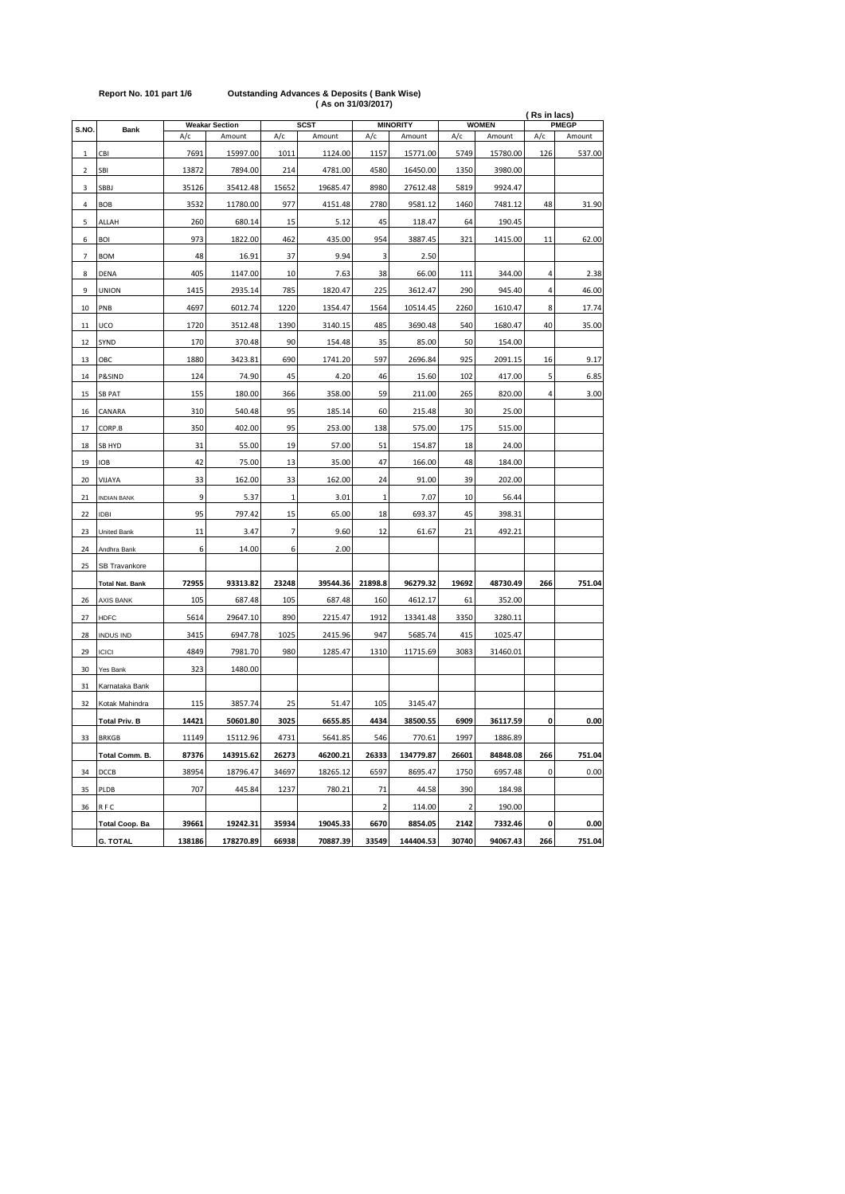|              |                        |        | <b>Weakar Section</b> |                | <b>SCST</b> |             | <b>MINORITY</b> |             | <b>WOMEN</b> | (Rs in lacs)<br>PMEGP |        |  |
|--------------|------------------------|--------|-----------------------|----------------|-------------|-------------|-----------------|-------------|--------------|-----------------------|--------|--|
| S.NO.        | <b>Bank</b>            | A/c    | Amount                | A/c            | Amount      | A/c         | Amount          | A/c         | Amount       | A/c                   | Amount |  |
| $\mathbf{1}$ | CBI                    | 7691   | 15997.00              | 1011           | 1124.00     | 1157        | 15771.00        | 5749        | 15780.00     | 126                   | 537.00 |  |
| 2            | SBI                    | 13872  | 7894.00               | 214            | 4781.00     | 4580        | 16450.00        | 1350        | 3980.00      |                       |        |  |
| 3            | <b>SBBJ</b>            | 35126  | 35412.48              | 15652          | 19685.47    | 8980        | 27612.48        | 5819        | 9924.47      |                       |        |  |
| 4            | <b>BOB</b>             | 3532   | 11780.00              | 977            | 4151.48     | 2780        | 9581.12         | 1460        | 7481.12      | 48                    | 31.90  |  |
| 5            | ALLAH                  | 260    | 680.14                | 15             | 5.12        | 45          | 118.47          | 64          | 190.45       |                       |        |  |
| 6            | <b>BOI</b>             | 973    | 1822.00               | 462            | 435.00      | 954         | 3887.45         | 321         | 1415.00      | 11                    | 62.00  |  |
| 7            | <b>BOM</b>             | 48     | 16.91                 | 37             | 9.94        | 3           | 2.50            |             |              |                       |        |  |
| 8            | DENA                   | 405    | 1147.00               | 10             | 7.63        | 38          | 66.00           | 111         | 344.00       | 4                     | 2.38   |  |
| 9            | <b>UNION</b>           | 1415   | 2935.14               | 785            | 1820.47     | 225         | 3612.47         | 290         | 945.40       | $\overline{4}$        | 46.00  |  |
| 10           | PNB                    | 4697   | 6012.74               | 1220           | 1354.47     | 1564        | 10514.45        | 2260        | 1610.47      | 8                     | 17.74  |  |
| 11           | UCO                    | 1720   | 3512.48               | 1390           | 3140.15     | 485         | 3690.48         | 540         | 1680.47      | 40                    | 35.00  |  |
| 12           | SYND                   | 170    | 370.48                | 90             | 154.48      | 35          | 85.00           | 50          | 154.00       |                       |        |  |
| 13           | OBC                    | 1880   | 3423.81               | 690            | 1741.20     | 597         | 2696.84         | 925         | 2091.15      | 16                    | 9.17   |  |
| 14           | P&SIND                 | 124    | 74.90                 | 45             | 4.20        | 46          | 15.60           | 102         | 417.00       | 5                     | 6.85   |  |
| 15           | <b>SB PAT</b>          | 155    | 180.00                | 366            | 358.00      | 59          | 211.00          | 265         | 820.00       | 4                     | 3.00   |  |
| 16           | CANARA                 | 310    | 540.48                | 95             | 185.14      | 60          | 215.48          | 30          | 25.00        |                       |        |  |
| 17           | CORP.B                 | 350    | 402.00                | 95             | 253.00      | 138         | 575.00          | 175         | 515.00       |                       |        |  |
| 18           | SB HYD                 | 31     | 55.00                 | 19             | 57.00       | 51          | 154.87          | 18          | 24.00        |                       |        |  |
| 19           | <b>IOB</b>             | 42     | 75.00                 | 13             | 35.00       | 47          | 166.00          | 48          | 184.00       |                       |        |  |
| 20           | VIJAYA                 | 33     | 162.00                | 33             | 162.00      | 24          | 91.00           | 39          | 202.00       |                       |        |  |
| 21           | <b>INDIAN BANK</b>     | 9      | 5.37                  | $1\,$          | 3.01        | 1           | 7.07            | 10          | 56.44        |                       |        |  |
| 22           | <b>IDBI</b>            | 95     | 797.42                | 15             | 65.00       | 18          | 693.37          | 45          | 398.31       |                       |        |  |
| 23           | United Bank            | 11     | 3.47                  | $\overline{7}$ | 9.60        | 12          | 61.67           | 21          | 492.21       |                       |        |  |
| 24           | Andhra Bank            | 6      | 14.00                 | 6              | 2.00        |             |                 |             |              |                       |        |  |
| 25           | SB Travankore          |        |                       |                |             |             |                 |             |              |                       |        |  |
|              | <b>Total Nat. Bank</b> | 72955  | 93313.82              | 23248          | 39544.36    | 21898.8     | 96279.32        | 19692       | 48730.49     | 266                   | 751.04 |  |
| 26           | <b>AXIS BANK</b>       | 105    | 687.48                | 105            | 687.48      | 160         | 4612.17         | 61          | 352.00       |                       |        |  |
| 27           | <b>HDFC</b>            | 5614   | 29647.10              | 890            | 2215.47     | 1912        | 13341.48        | 3350        | 3280.11      |                       |        |  |
| 28           | <b>INDUS IND</b>       | 3415   | 6947.78               | 1025           | 2415.96     | 947         | 5685.74         | 415         | 1025.47      |                       |        |  |
| 29           | <b>ICICI</b>           | 4849   | 7981.70               | 980            | 1285.47     | 1310        | 11715.69        | 3083        | 31460.01     |                       |        |  |
| 30           | Yes Bank               | 323    | 1480.00               |                |             |             |                 |             |              |                       |        |  |
| 31           | Karnataka Bank         |        |                       |                |             |             |                 |             |              |                       |        |  |
| 32           | Kotak Mahindra         | 115    | 3857.74               | 25             | 51.47       | 105         | 3145.47         |             |              |                       |        |  |
|              | <b>Total Priv. B</b>   | 14421  | 50601.80              | 3025           | 6655.85     | 4434        | 38500.55        | 6909        | 36117.59     | 0                     | 0.00   |  |
| 33           | <b>BRKGB</b>           | 11149  | 15112.96              | 4731           | 5641.85     | 546         | 770.61          | 1997        | 1886.89      |                       |        |  |
|              | Total Comm. B.         | 87376  | 143915.62             | 26273          | 46200.21    | 26333       | 134779.87       | 26601       | 84848.08     | 266                   | 751.04 |  |
| 34           | <b>DCCB</b>            | 38954  | 18796.47              | 34697          | 18265.12    | 6597        | 8695.47         | 1750        | 6957.48      | $\pmb{0}$             | 0.00   |  |
| 35           | PLDB                   | 707    | 445.84                | 1237           | 780.21      | 71          | 44.58           | 390         | 184.98       |                       |        |  |
| 36           | RFC                    |        |                       |                |             | $\mathbf 2$ | 114.00          | $\mathbf 2$ | 190.00       |                       |        |  |
|              | <b>Total Coop. Ba</b>  | 39661  | 19242.31              | 35934          | 19045.33    | 6670        | 8854.05         | 2142        | 7332.46      | 0                     | 0.00   |  |
|              | <b>G. TOTAL</b>        | 138186 | 178270.89             | 66938          | 70887.39    | 33549       | 144404.53       | 30740       | 94067.43     | 266                   | 751.04 |  |